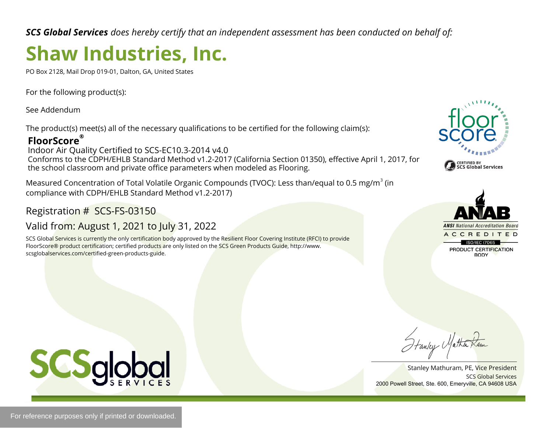*SCS Global Services does hereby certify that an independent assessment has been conducted on behalf of:*

# **Shaw Industries, Inc.**

PO Box 2128, Mail Drop 019-01, Dalton, GA, United States

For the following product(s):

See Addendum

The product(s) meet(s) all of the necessary qualifications to be certified for the following claim(s):

### **FloorScore®**

Indoor Air Quality Certified to SCS-EC10.3-2014 v4.0 Conforms to the CDPH/EHLB Standard Method v1.2-2017 (California Section 01350), effective April 1, 2017, for the school classroom and private office parameters when modeled as Flooring.

Measured Concentration of Total Volatile Organic Compounds (TVOC): Less than/equal to 0.5 mg/m<sup>3</sup> (in compliance with CDPH/EHLB Standard Method v1.2-2017)

Registration # SCS-FS-03150

## Valid from: August 1, 2021 to July 31, 2022

SCS Global Services is currently the only certification body approved by the Resilient Floor Covering Institute (RFCI) to provide FloorScore® product certification; certified products are only listed on the SCS Green Products Guide, http://www. scsglobalservices.com/certified-green-products-guide.





SCS Global Services Stanley Mathuram, PE, Vice President 2000 Powell Street, Ste. 600, Emeryville, CA 94608 USA